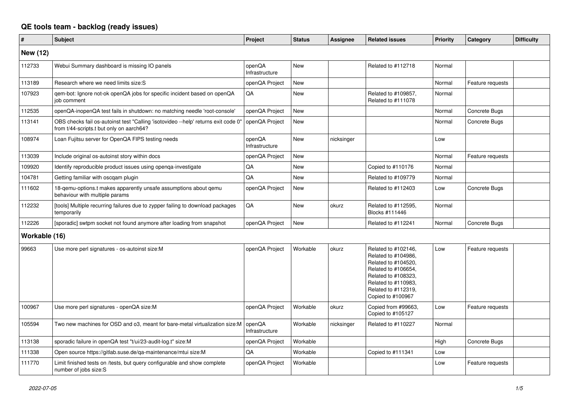## **QE tools team - backlog (ready issues)**

| #             | <b>Subject</b>                                                                                                                 | Project                  | <b>Status</b> | <b>Assignee</b> | <b>Related issues</b>                                                                                                                                                              | <b>Priority</b> | Category         | <b>Difficulty</b> |
|---------------|--------------------------------------------------------------------------------------------------------------------------------|--------------------------|---------------|-----------------|------------------------------------------------------------------------------------------------------------------------------------------------------------------------------------|-----------------|------------------|-------------------|
| New (12)      |                                                                                                                                |                          |               |                 |                                                                                                                                                                                    |                 |                  |                   |
| 112733        | Webui Summary dashboard is missing IO panels                                                                                   | openQA<br>Infrastructure | <b>New</b>    |                 | Related to #112718                                                                                                                                                                 | Normal          |                  |                   |
| 113189        | Research where we need limits size: S                                                                                          | openQA Project           | <b>New</b>    |                 |                                                                                                                                                                                    | Normal          | Feature requests |                   |
| 107923        | qem-bot: Ignore not-ok openQA jobs for specific incident based on openQA<br>job comment                                        | QA                       | New           |                 | Related to #109857,<br>Related to #111078                                                                                                                                          | Normal          |                  |                   |
| 112535        | openQA-inopenQA test fails in shutdown: no matching needle 'root-console'                                                      | openQA Project           | <b>New</b>    |                 |                                                                                                                                                                                    | Normal          | Concrete Bugs    |                   |
| 113141        | OBS checks fail os-autoinst test "Calling 'isotovideo --help' returns exit code 0'<br>from t/44-scripts.t but only on aarch64? | openQA Project           | New           |                 |                                                                                                                                                                                    | Normal          | Concrete Bugs    |                   |
| 108974        | Loan Fujitsu server for OpenQA FIPS testing needs                                                                              | openQA<br>Infrastructure | New           | nicksinger      |                                                                                                                                                                                    | Low             |                  |                   |
| 113039        | Include original os-autoinst story within docs                                                                                 | openQA Project           | <b>New</b>    |                 |                                                                                                                                                                                    | Normal          | Feature requests |                   |
| 109920        | Identify reproducible product issues using openga-investigate                                                                  | QA                       | <b>New</b>    |                 | Copied to #110176                                                                                                                                                                  | Normal          |                  |                   |
| 104781        | Getting familiar with oscgam plugin                                                                                            | QA                       | <b>New</b>    |                 | Related to #109779                                                                                                                                                                 | Normal          |                  |                   |
| 111602        | 18-gemu-options.t makes apparently unsafe assumptions about gemu<br>behaviour with multiple params                             | openQA Project           | New           |                 | Related to #112403                                                                                                                                                                 | Low             | Concrete Bugs    |                   |
| 112232        | [tools] Multiple recurring failures due to zypper failing to download packages<br>temporarily                                  | QA                       | <b>New</b>    | okurz           | Related to #112595.<br>Blocks #111446                                                                                                                                              | Normal          |                  |                   |
| 112226        | [sporadic] swtpm socket not found anymore after loading from snapshot                                                          | openQA Project           | <b>New</b>    |                 | Related to #112241                                                                                                                                                                 | Normal          | Concrete Bugs    |                   |
| Workable (16) |                                                                                                                                |                          |               |                 |                                                                                                                                                                                    |                 |                  |                   |
| 99663         | Use more perl signatures - os-autoinst size:M                                                                                  | openQA Project           | Workable      | okurz           | Related to #102146,<br>Related to #104986,<br>Related to #104520,<br>Related to #106654,<br>Related to #108323,<br>Related to #110983,<br>Related to #112319,<br>Copied to #100967 | Low             | Feature requests |                   |
| 100967        | Use more perl signatures - openQA size:M                                                                                       | openQA Project           | Workable      | okurz           | Copied from #99663,<br>Copied to #105127                                                                                                                                           | Low             | Feature requests |                   |
| 105594        | Two new machines for OSD and o3, meant for bare-metal virtualization size:M                                                    | openQA<br>Infrastructure | Workable      | nicksinger      | Related to #110227                                                                                                                                                                 | Normal          |                  |                   |
| 113138        | sporadic failure in openQA test "t/ui/23-audit-log.t" size:M                                                                   | openQA Project           | Workable      |                 |                                                                                                                                                                                    | High            | Concrete Bugs    |                   |
| 111338        | Open source https://gitlab.suse.de/ga-maintenance/mtui size:M                                                                  | QA                       | Workable      |                 | Copied to #111341                                                                                                                                                                  | Low             |                  |                   |
| 111770        | Limit finished tests on /tests, but query configurable and show complete<br>number of jobs size:S                              | openQA Project           | Workable      |                 |                                                                                                                                                                                    | Low             | Feature requests |                   |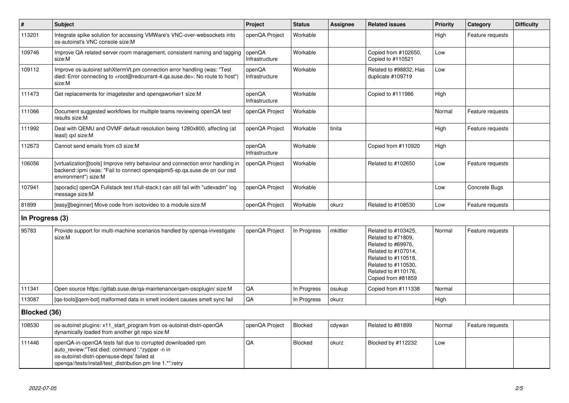| $\vert$ #       | <b>Subject</b>                                                                                                                                                                                                              | Project                  | <b>Status</b>  | Assignee | <b>Related issues</b>                                                                                                                                                             | <b>Priority</b> | Category         | <b>Difficulty</b> |
|-----------------|-----------------------------------------------------------------------------------------------------------------------------------------------------------------------------------------------------------------------------|--------------------------|----------------|----------|-----------------------------------------------------------------------------------------------------------------------------------------------------------------------------------|-----------------|------------------|-------------------|
| 113201          | Integrate spike solution for accessing VMWare's VNC-over-websockets into<br>os-autoinst's VNC console size:M                                                                                                                | openQA Project           | Workable       |          |                                                                                                                                                                                   | High            | Feature requests |                   |
| 109746          | Improve QA related server room management, consistent naming and tagging<br>size:M                                                                                                                                          | openQA<br>Infrastructure | Workable       |          | Copied from #102650,<br>Copied to #110521                                                                                                                                         | Low             |                  |                   |
| 109112          | Improve os-autoinst sshXtermVt.pm connection error handling (was: "Test<br>died: Error connecting to <root@redcurrant-4.qa.suse.de>: No route to host")<br/>size:M</root@redcurrant-4.qa.suse.de>                           | openQA<br>Infrastructure | Workable       |          | Related to #98832, Has<br>duplicate #109719                                                                                                                                       | Low             |                  |                   |
| 111473          | Get replacements for imagetester and opengaworker1 size:M                                                                                                                                                                   | openQA<br>Infrastructure | Workable       |          | Copied to #111986                                                                                                                                                                 | High            |                  |                   |
| 111066          | Document suggested workflows for multiple teams reviewing openQA test<br>results size:M                                                                                                                                     | openQA Project           | Workable       |          |                                                                                                                                                                                   | Normal          | Feature requests |                   |
| 111992          | Deal with QEMU and OVMF default resolution being 1280x800, affecting (at<br>least) gxl size:M                                                                                                                               | openQA Project           | Workable       | tinita   |                                                                                                                                                                                   | High            | Feature requests |                   |
| 112673          | Cannot send emails from o3 size:M                                                                                                                                                                                           | openQA<br>Infrastructure | Workable       |          | Copied from #110920                                                                                                                                                               | High            |                  |                   |
| 106056          | [virtualization][tools] Improve retry behaviour and connection error handling in<br>backend::ipmi (was: "Fail to connect opengaipmi5-sp.ga.suse.de on our osd<br>environment") size:M                                       | openQA Project           | Workable       |          | Related to #102650                                                                                                                                                                | Low             | Feature requests |                   |
| 107941          | [sporadic] openQA Fullstack test t/full-stack.t can still fail with "udevadm" log<br>message size:M                                                                                                                         | openQA Project           | Workable       |          |                                                                                                                                                                                   | Low             | Concrete Bugs    |                   |
| 81899           | [easy][beginner] Move code from isotovideo to a module size:M                                                                                                                                                               | openQA Project           | Workable       | okurz    | Related to #108530                                                                                                                                                                | Low             | Feature requests |                   |
| In Progress (3) |                                                                                                                                                                                                                             |                          |                |          |                                                                                                                                                                                   |                 |                  |                   |
| 95783           | Provide support for multi-machine scenarios handled by openga-investigate<br>size:M                                                                                                                                         | openQA Project           | In Progress    | mkittler | Related to #103425,<br>Related to #71809,<br>Related to #69976,<br>Related to #107014,<br>Related to #110518,<br>Related to #110530,<br>Related to #110176,<br>Copied from #81859 | Normal          | Feature requests |                   |
| 111341          | Open source https://gitlab.suse.de/ga-maintenance/gam-oscplugin/ size:M                                                                                                                                                     | QA                       | In Progress    | osukup   | Copied from #111338                                                                                                                                                               | Normal          |                  |                   |
| 113087          | [qa-tools][qem-bot] malformed data in smelt incident causes smelt sync fail                                                                                                                                                 | QA                       | In Progress    | okurz    |                                                                                                                                                                                   | High            |                  |                   |
| Blocked (36)    |                                                                                                                                                                                                                             |                          |                |          |                                                                                                                                                                                   |                 |                  |                   |
| 108530          | os-autoinst plugins: x11_start_program from os-autoinst-distri-openQA<br>dynamically loaded from another git repo size:M                                                                                                    | openQA Project           | <b>Blocked</b> | cdywan   | Related to #81899                                                                                                                                                                 | Normal          | Feature requests |                   |
| 111446          | openQA-in-openQA tests fail due to corrupted downloaded rpm<br>auto review:"Test died: command '.*zypper -n in<br>os-autoinst-distri-opensuse-deps' failed at<br>openqa//tests/install/test_distribution.pm line 1.*":retry | QA                       | Blocked        | okurz    | Blocked by #112232                                                                                                                                                                | Low             |                  |                   |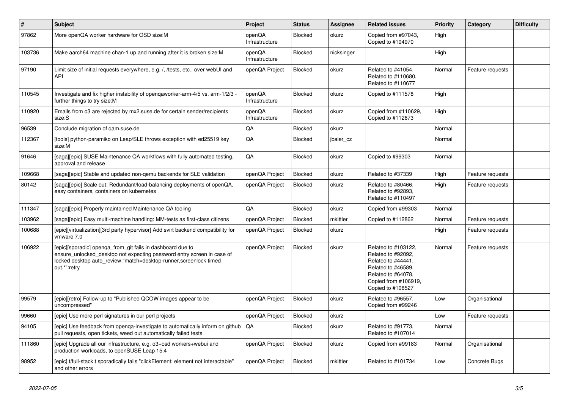| #      | <b>Subject</b>                                                                                                                                                                                                             | Project                  | <b>Status</b>  | Assignee   | <b>Related issues</b>                                                                                                                                    | <b>Priority</b> | Category         | <b>Difficulty</b> |
|--------|----------------------------------------------------------------------------------------------------------------------------------------------------------------------------------------------------------------------------|--------------------------|----------------|------------|----------------------------------------------------------------------------------------------------------------------------------------------------------|-----------------|------------------|-------------------|
| 97862  | More openQA worker hardware for OSD size:M                                                                                                                                                                                 | openQA<br>Infrastructure | <b>Blocked</b> | okurz      | Copied from #97043.<br>Copied to #104970                                                                                                                 | High            |                  |                   |
| 103736 | Make aarch64 machine chan-1 up and running after it is broken size: M                                                                                                                                                      | openQA<br>Infrastructure | <b>Blocked</b> | nicksinger |                                                                                                                                                          | High            |                  |                   |
| 97190  | Limit size of initial requests everywhere, e.g. /, /tests, etc., over webUI and<br>API                                                                                                                                     | openQA Project           | <b>Blocked</b> | okurz      | Related to #41054,<br>Related to #110680,<br>Related to #110677                                                                                          | Normal          | Feature requests |                   |
| 110545 | Investigate and fix higher instability of opengaworker-arm-4/5 vs. arm-1/2/3 -<br>further things to try size:M                                                                                                             | openQA<br>Infrastructure | Blocked        | okurz      | Copied to #111578                                                                                                                                        | High            |                  |                   |
| 110920 | Emails from o3 are rejected by mx2.suse.de for certain sender/recipients<br>size:S                                                                                                                                         | openQA<br>Infrastructure | <b>Blocked</b> | okurz      | Copied from #110629,<br>Copied to #112673                                                                                                                | High            |                  |                   |
| 96539  | Conclude migration of gam.suse.de                                                                                                                                                                                          | QA                       | Blocked        | okurz      |                                                                                                                                                          | Normal          |                  |                   |
| 112367 | [tools] python-paramiko on Leap/SLE throws exception with ed25519 key<br>size:M                                                                                                                                            | QA                       | Blocked        | jbaier cz  |                                                                                                                                                          | Normal          |                  |                   |
| 91646  | [saga][epic] SUSE Maintenance QA workflows with fully automated testing,<br>approval and release                                                                                                                           | QA                       | <b>Blocked</b> | okurz      | Copied to #99303                                                                                                                                         | Normal          |                  |                   |
| 109668 | [saga][epic] Stable and updated non-qemu backends for SLE validation                                                                                                                                                       | openQA Project           | Blocked        | okurz      | Related to #37339                                                                                                                                        | High            | Feature requests |                   |
| 80142  | [saga][epic] Scale out: Redundant/load-balancing deployments of openQA,<br>easy containers, containers on kubernetes                                                                                                       | openQA Project           | <b>Blocked</b> | okurz      | Related to #80466,<br>Related to #92893,<br>Related to #110497                                                                                           | High            | Feature requests |                   |
| 111347 | [saga][epic] Properly maintained Maintenance QA tooling                                                                                                                                                                    | QA                       | <b>Blocked</b> | okurz      | Copied from #99303                                                                                                                                       | Normal          |                  |                   |
| 103962 | [saga][epic] Easy multi-machine handling: MM-tests as first-class citizens                                                                                                                                                 | openQA Project           | Blocked        | mkittler   | Copied to #112862                                                                                                                                        | Normal          | Feature requests |                   |
| 100688 | [epic][virtualization][3rd party hypervisor] Add svirt backend compatibility for<br>vmware 7.0                                                                                                                             | openQA Project           | Blocked        | okurz      |                                                                                                                                                          | High            | Feature requests |                   |
| 106922 | [epic][sporadic] openga from git fails in dashboard due to<br>ensure_unlocked_desktop not expecting password entry screen in case of<br>locked desktop auto_review:"match=desktop-runner, screenlock timed<br>out.*":retry | openQA Project           | Blocked        | okurz      | Related to #103122.<br>Related to #92092,<br>Related to #44441,<br>Related to #46589,<br>Related to #64078.<br>Copied from #106919,<br>Copied to #108527 | Normal          | Feature requests |                   |
| 99579  | [epic][retro] Follow-up to "Published QCOW images appear to be<br>uncompressed"                                                                                                                                            | openQA Project           | Blocked        | okurz      | Related to #96557,<br>Copied from #99246                                                                                                                 | Low             | Organisational   |                   |
| 99660  | [epic] Use more perl signatures in our perl projects                                                                                                                                                                       | openQA Project           | Blocked        | okurz      |                                                                                                                                                          | Low             | Feature requests |                   |
| 94105  | [epic] Use feedback from openga-investigate to automatically inform on github<br>pull requests, open tickets, weed out automatically failed tests                                                                          | QA                       | <b>Blocked</b> | okurz      | Related to #91773,<br>Related to #107014                                                                                                                 | Normal          |                  |                   |
| 111860 | [epic] Upgrade all our infrastructure, e.g. o3+osd workers+webui and<br>production workloads, to openSUSE Leap 15.4                                                                                                        | openQA Project           | Blocked        | okurz      | Copied from #99183                                                                                                                                       | Normal          | Organisational   |                   |
| 98952  | [epic] t/full-stack.t sporadically fails "clickElement: element not interactable"<br>and other errors                                                                                                                      | openQA Project           | Blocked        | mkittler   | Related to #101734                                                                                                                                       | Low             | Concrete Bugs    |                   |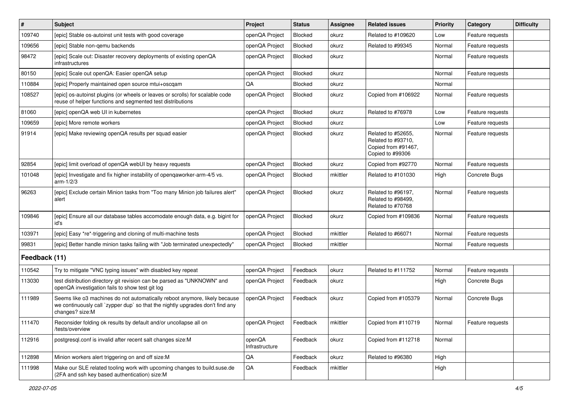| $\vert$ #     | Subject                                                                                                                                                                        | Project                  | <b>Status</b> | Assignee | <b>Related issues</b>                                                               | <b>Priority</b> | Category         | <b>Difficulty</b> |
|---------------|--------------------------------------------------------------------------------------------------------------------------------------------------------------------------------|--------------------------|---------------|----------|-------------------------------------------------------------------------------------|-----------------|------------------|-------------------|
| 109740        | [epic] Stable os-autoinst unit tests with good coverage                                                                                                                        | openQA Project           | Blocked       | okurz    | Related to #109620                                                                  | Low             | Feature requests |                   |
| 109656        | [epic] Stable non-gemu backends                                                                                                                                                | openQA Project           | Blocked       | okurz    | Related to #99345                                                                   | Normal          | Feature requests |                   |
| 98472         | [epic] Scale out: Disaster recovery deployments of existing openQA<br>infrastructures                                                                                          | openQA Project           | Blocked       | okurz    |                                                                                     | Normal          | Feature requests |                   |
| 80150         | [epic] Scale out openQA: Easier openQA setup                                                                                                                                   | openQA Project           | Blocked       | okurz    |                                                                                     | Normal          | Feature requests |                   |
| 110884        | [epic] Properly maintained open source mtui+oscgam                                                                                                                             | QA                       | Blocked       | okurz    |                                                                                     | Normal          |                  |                   |
| 108527        | [epic] os-autoinst plugins (or wheels or leaves or scrolls) for scalable code<br>reuse of helper functions and segmented test distributions                                    | openQA Project           | Blocked       | okurz    | Copied from #106922                                                                 | Normal          | Feature requests |                   |
| 81060         | [epic] openQA web UI in kubernetes                                                                                                                                             | openQA Project           | Blocked       | okurz    | Related to #76978                                                                   | Low             | Feature requests |                   |
| 109659        | [epic] More remote workers                                                                                                                                                     | openQA Project           | Blocked       | okurz    |                                                                                     | Low             | Feature requests |                   |
| 91914         | [epic] Make reviewing openQA results per squad easier                                                                                                                          | openQA Project           | Blocked       | okurz    | Related to #52655,<br>Related to #93710,<br>Copied from #91467,<br>Copied to #99306 | Normal          | Feature requests |                   |
| 92854         | [epic] limit overload of openQA webUI by heavy requests                                                                                                                        | openQA Project           | Blocked       | okurz    | Copied from #92770                                                                  | Normal          | Feature requests |                   |
| 101048        | [epic] Investigate and fix higher instability of openqaworker-arm-4/5 vs.<br>$arm-1/2/3$                                                                                       | openQA Project           | Blocked       | mkittler | Related to #101030                                                                  | High            | Concrete Bugs    |                   |
| 96263         | [epic] Exclude certain Minion tasks from "Too many Minion job failures alert"<br>alert                                                                                         | openQA Project           | Blocked       | okurz    | Related to #96197,<br>Related to #98499.<br>Related to #70768                       | Normal          | Feature requests |                   |
| 109846        | [epic] Ensure all our database tables accomodate enough data, e.g. bigint for<br>id's                                                                                          | openQA Project           | Blocked       | okurz    | Copied from #109836                                                                 | Normal          | Feature requests |                   |
| 103971        | [epic] Easy *re*-triggering and cloning of multi-machine tests                                                                                                                 | openQA Project           | Blocked       | mkittler | Related to #66071                                                                   | Normal          | Feature requests |                   |
| 99831         | [epic] Better handle minion tasks failing with "Job terminated unexpectedly"                                                                                                   | openQA Project           | Blocked       | mkittler |                                                                                     | Normal          | Feature requests |                   |
| Feedback (11) |                                                                                                                                                                                |                          |               |          |                                                                                     |                 |                  |                   |
| 110542        | Try to mitigate "VNC typing issues" with disabled key repeat                                                                                                                   | openQA Project           | Feedback      | okurz    | Related to #111752                                                                  | Normal          | Feature requests |                   |
| 113030        | test distribution directory git revision can be parsed as "UNKNOWN" and<br>openQA investigation fails to show test git log                                                     | openQA Project           | Feedback      | okurz    |                                                                                     | High            | Concrete Bugs    |                   |
| 111989        | Seems like o3 machines do not automatically reboot anymore, likely because<br>we continuously call `zypper dup` so that the nightly upgrades don't find any<br>changes? size:M | openQA Project           | Feedback      | okurz    | Copied from #105379                                                                 | Normal          | Concrete Bugs    |                   |
| 111470        | Reconsider folding ok results by default and/or uncollapse all on<br>/tests/overview                                                                                           | openQA Project           | Feedback      | mkittler | Copied from #110719                                                                 | Normal          | Feature requests |                   |
| 112916        | postgresql.conf is invalid after recent salt changes size:M                                                                                                                    | openQA<br>Infrastructure | Feedback      | okurz    | Copied from #112718                                                                 | Normal          |                  |                   |
| 112898        | Minion workers alert triggering on and off size:M                                                                                                                              | QA                       | Feedback      | okurz    | Related to #96380                                                                   | High            |                  |                   |
| 111998        | Make our SLE related tooling work with upcoming changes to build.suse.de<br>(2FA and ssh key based authentication) size:M                                                      | $\mathsf{QA}$            | Feedback      | mkittler |                                                                                     | High            |                  |                   |